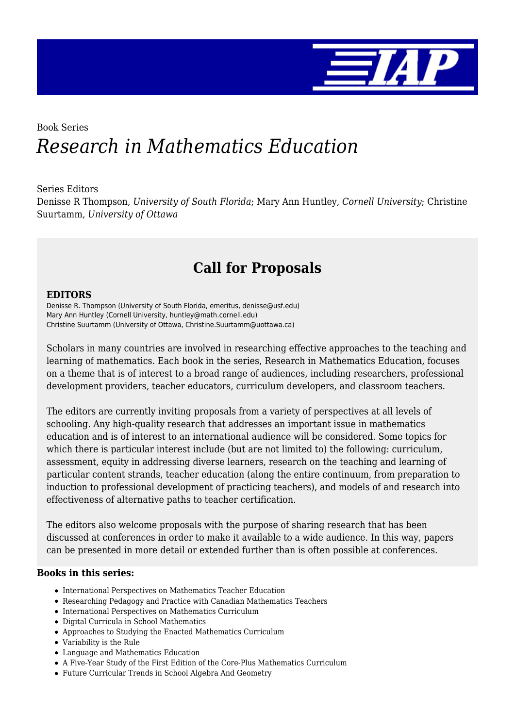

# Book Series *Research in Mathematics Education*

#### Series Editors

Denisse R Thompson, *University of South Florida*; Mary Ann Huntley, *Cornell University*; Christine Suurtamm, *University of Ottawa*

# **Call for Proposals**

#### **EDITORS**

Denisse R. Thompson (University of South Florida, emeritus, denisse@usf.edu) Mary Ann Huntley (Cornell University, huntley@math.cornell.edu) Christine Suurtamm (University of Ottawa, Christine.Suurtamm@uottawa.ca)

Scholars in many countries are involved in researching effective approaches to the teaching and learning of mathematics. Each book in the series, Research in Mathematics Education, focuses on a theme that is of interest to a broad range of audiences, including researchers, professional development providers, teacher educators, curriculum developers, and classroom teachers.

The editors are currently inviting proposals from a variety of perspectives at all levels of schooling. Any high-quality research that addresses an important issue in mathematics education and is of interest to an international audience will be considered. Some topics for which there is particular interest include (but are not limited to) the following: curriculum, assessment, equity in addressing diverse learners, research on the teaching and learning of particular content strands, teacher education (along the entire continuum, from preparation to induction to professional development of practicing teachers), and models of and research into effectiveness of alternative paths to teacher certification.

The editors also welcome proposals with the purpose of sharing research that has been discussed at conferences in order to make it available to a wide audience. In this way, papers can be presented in more detail or extended further than is often possible at conferences.

#### **Books in this series:**

- International Perspectives on Mathematics Teacher Education
- Researching Pedagogy and Practice with Canadian Mathematics Teachers
- International Perspectives on Mathematics Curriculum
- Digital Curricula in School Mathematics
- Approaches to Studying the Enacted Mathematics Curriculum
- Variability is the Rule
- Language and Mathematics Education
- A Five-Year Study of the First Edition of the Core-Plus Mathematics Curriculum
- Future Curricular Trends in School Algebra And Geometry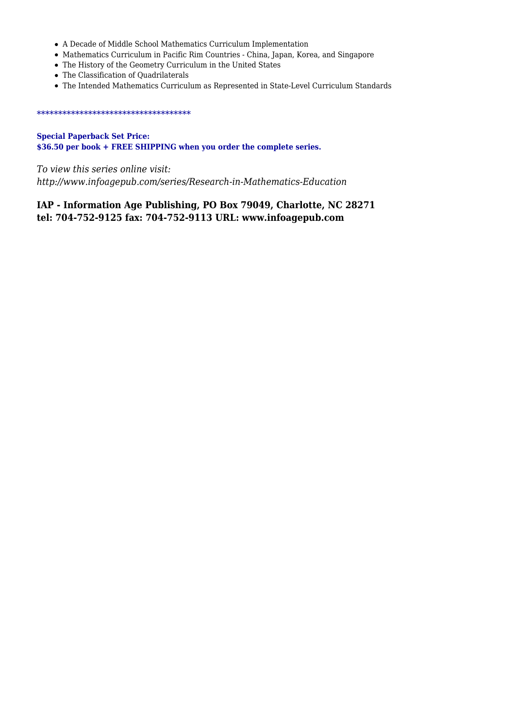- A Decade of Middle School Mathematics Curriculum Implementation
- Mathematics Curriculum in Pacific Rim Countries China, Japan, Korea, and Singapore
- The History of the Geometry Curriculum in the United States
- The Classification of Quadrilaterals
- The Intended Mathematics Curriculum as Represented in State-Level Curriculum Standards

#### \*\*\*\*\*\*\*\*\*\*\*\*\*\*\*\*\*\*\*\*\*\*\*\*\*\*\*\*\*\*\*\*\*\*\*\*

**Special Paperback Set Price: \$36.50 per book + FREE SHIPPING when you order the complete series.**

*To view this series online visit: http://www.infoagepub.com/series/Research-in-Mathematics-Education*

### **IAP - Information Age Publishing, PO Box 79049, Charlotte, NC 28271 tel: 704-752-9125 fax: 704-752-9113 URL: www.infoagepub.com**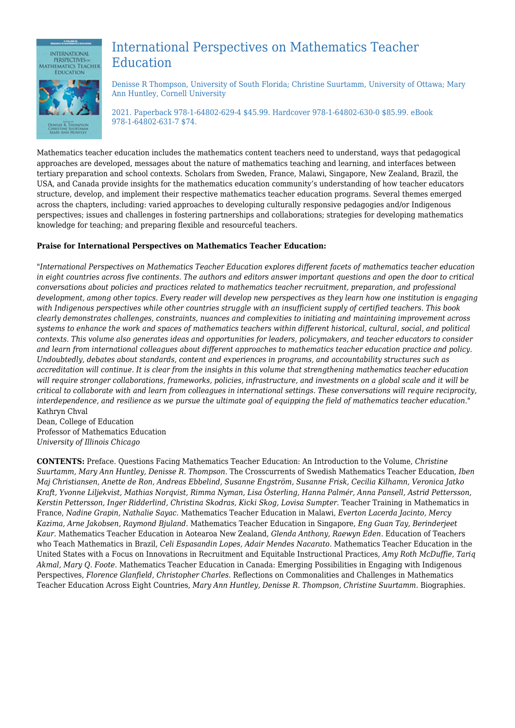

## International Perspectives on Mathematics Teacher Education

Denisse R Thompson, University of South Florida; Christine Suurtamm, University of Ottawa; Mary Ann Huntley, Cornell University

2021. Paperback 978-1-64802-629-4 \$45.99. Hardcover 978-1-64802-630-0 \$85.99. eBook 978-1-64802-631-7 \$74.

Mathematics teacher education includes the mathematics content teachers need to understand, ways that pedagogical approaches are developed, messages about the nature of mathematics teaching and learning, and interfaces between tertiary preparation and school contexts. Scholars from Sweden, France, Malawi, Singapore, New Zealand, Brazil, the USA, and Canada provide insights for the mathematics education community's understanding of how teacher educators structure, develop, and implement their respective mathematics teacher education programs. Several themes emerged across the chapters, including: varied approaches to developing culturally responsive pedagogies and/or Indigenous perspectives; issues and challenges in fostering partnerships and collaborations; strategies for developing mathematics knowledge for teaching; and preparing flexible and resourceful teachers.

#### **Praise for International Perspectives on Mathematics Teacher Education:**

*"International Perspectives on Mathematics Teacher Education explores different facets of mathematics teacher education in eight countries across five continents. The authors and editors answer important questions and open the door to critical conversations about policies and practices related to mathematics teacher recruitment, preparation, and professional development, among other topics. Every reader will develop new perspectives as they learn how one institution is engaging with Indigenous perspectives while other countries struggle with an insufficient supply of certified teachers. This book clearly demonstrates challenges, constraints, nuances and complexities to initiating and maintaining improvement across systems to enhance the work and spaces of mathematics teachers within different historical, cultural, social, and political contexts. This volume also generates ideas and opportunities for leaders, policymakers, and teacher educators to consider and learn from international colleagues about different approaches to mathematics teacher education practice and policy. Undoubtedly, debates about standards, content and experiences in programs, and accountability structures such as accreditation will continue. It is clear from the insights in this volume that strengthening mathematics teacher education will require stronger collaborations, frameworks, policies, infrastructure, and investments on a global scale and it will be critical to collaborate with and learn from colleagues in international settings. These conversations will require reciprocity, interdependence, and resilience as we pursue the ultimate goal of equipping the field of mathematics teacher education."* Kathryn Chval

Dean, College of Education Professor of Mathematics Education *University of Illinois Chicago*

**CONTENTS:** Preface. Questions Facing Mathematics Teacher Education: An Introduction to the Volume, *Christine Suurtamm, Mary Ann Huntley, Denisse R. Thompson.* The Crosscurrents of Swedish Mathematics Teacher Education, *Iben Maj Christiansen, Anette de Ron, Andreas Ebbelind, Susanne Engström, Susanne Frisk, Cecilia Kilhamn, Veronica Jatko Kraft, Yvonne Liljekvist, Mathias Norqvist, Rimma Nyman, Lisa Österling, Hanna Palmér, Anna Pansell, Astrid Pettersson, Kerstin Pettersson, Inger Ridderlind, Christina Skodras, Kicki Skog, Lovisa Sumpter.* Teacher Training in Mathematics in France, *Nadine Grapin, Nathalie Sayac.* Mathematics Teacher Education in Malawi, *Everton Lacerda Jacinto, Mercy Kazima, Arne Jakobsen, Raymond Bjuland.* Mathematics Teacher Education in Singapore, *Eng Guan Tay, Berinderjeet Kaur.* Mathematics Teacher Education in Aotearoa New Zealand, *Glenda Anthony, Raewyn Eden.* Education of Teachers who Teach Mathematics in Brazil, *Celi Espasandin Lopes, Adair Mendes Nacarato.* Mathematics Teacher Education in the United States with a Focus on Innovations in Recruitment and Equitable Instructional Practices, *Amy Roth McDuffie, Tariq Akmal, Mary Q. Foote.* Mathematics Teacher Education in Canada: Emerging Possibilities in Engaging with Indigenous Perspectives, *Florence Glanfield, Christopher Charles.* Reflections on Commonalities and Challenges in Mathematics Teacher Education Across Eight Countries, *Mary Ann Huntley, Denisse R. Thompson, Christine Suurtamm.* Biographies.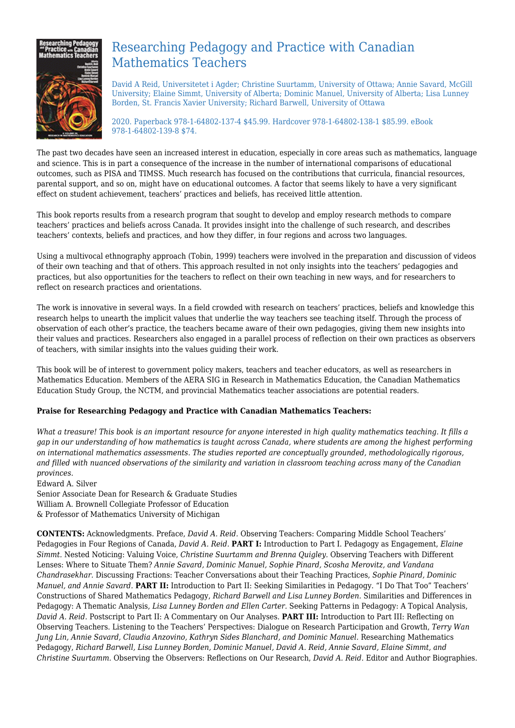

## Researching Pedagogy and Practice with Canadian Mathematics Teachers

David A Reid, Universitetet i Agder; Christine Suurtamm, University of Ottawa; Annie Savard, McGill University; Elaine Simmt, University of Alberta; Dominic Manuel, University of Alberta; Lisa Lunney Borden, St. Francis Xavier University; Richard Barwell, University of Ottawa

2020. Paperback 978-1-64802-137-4 \$45.99. Hardcover 978-1-64802-138-1 \$85.99. eBook 978-1-64802-139-8 \$74.

The past two decades have seen an increased interest in education, especially in core areas such as mathematics, language and science. This is in part a consequence of the increase in the number of international comparisons of educational outcomes, such as PISA and TIMSS. Much research has focused on the contributions that curricula, financial resources, parental support, and so on, might have on educational outcomes. A factor that seems likely to have a very significant effect on student achievement, teachers' practices and beliefs, has received little attention.

This book reports results from a research program that sought to develop and employ research methods to compare teachers' practices and beliefs across Canada. It provides insight into the challenge of such research, and describes teachers' contexts, beliefs and practices, and how they differ, in four regions and across two languages.

Using a multivocal ethnography approach (Tobin, 1999) teachers were involved in the preparation and discussion of videos of their own teaching and that of others. This approach resulted in not only insights into the teachers' pedagogies and practices, but also opportunities for the teachers to reflect on their own teaching in new ways, and for researchers to reflect on research practices and orientations.

The work is innovative in several ways. In a field crowded with research on teachers' practices, beliefs and knowledge this research helps to unearth the implicit values that underlie the way teachers see teaching itself. Through the process of observation of each other's practice, the teachers became aware of their own pedagogies, giving them new insights into their values and practices. Researchers also engaged in a parallel process of reflection on their own practices as observers of teachers, with similar insights into the values guiding their work.

This book will be of interest to government policy makers, teachers and teacher educators, as well as researchers in Mathematics Education. Members of the AERA SIG in Research in Mathematics Education, the Canadian Mathematics Education Study Group, the NCTM, and provincial Mathematics teacher associations are potential readers.

#### **Praise for Researching Pedagogy and Practice with Canadian Mathematics Teachers:**

*What a treasure! This book is an important resource for anyone interested in high quality mathematics teaching. It fills a gap in our understanding of how mathematics is taught across Canada, where students are among the highest performing on international mathematics assessments. The studies reported are conceptually grounded, methodologically rigorous, and filled with nuanced observations of the similarity and variation in classroom teaching across many of the Canadian provinces.*

Edward A. Silver Senior Associate Dean for Research & Graduate Studies William A. Brownell Collegiate Professor of Education & Professor of Mathematics University of Michigan

**CONTENTS:** Acknowledgments. Preface, *David A. Reid.* Observing Teachers: Comparing Middle School Teachers' Pedagogies in Four Regions of Canada, *David A. Reid.* **PART I:** Introduction to Part I. Pedagogy as Engagement, *Elaine Simmt.* Nested Noticing: Valuing Voice, *Christine Suurtamm and Brenna Quigley.* Observing Teachers with Different Lenses: Where to Situate Them? *Annie Savard, Dominic Manuel, Sophie Pinard, Scosha Merovitz, and Vandana Chandrasekhar.* Discussing Fractions: Teacher Conversations about their Teaching Practices, *Sophie Pinard, Dominic Manuel, and Annie Savard.* **PART II:** Introduction to Part II: Seeking Similarities in Pedagogy. "I Do That Too" Teachers' Constructions of Shared Mathematics Pedagogy, *Richard Barwell and Lisa Lunney Borden.* Similarities and Differences in Pedagogy: A Thematic Analysis, *Lisa Lunney Borden and Ellen Carter.* Seeking Patterns in Pedagogy: A Topical Analysis, *David A. Reid.* Postscript to Part II: A Commentary on Our Analyses. **PART III:** Introduction to Part III: Reflecting on Observing Teachers. Listening to the Teachers' Perspectives: Dialogue on Research Participation and Growth, *Terry Wan Jung Lin, Annie Savard, Claudia Anzovino, Kathryn Sides Blanchard, and Dominic Manuel.* Researching Mathematics Pedagogy, *Richard Barwell, Lisa Lunney Borden, Dominic Manuel, David A. Reid, Annie Savard, Elaine Simmt, and Christine Suurtamm.* Observing the Observers: Reflections on Our Research, *David A. Reid.* Editor and Author Biographies.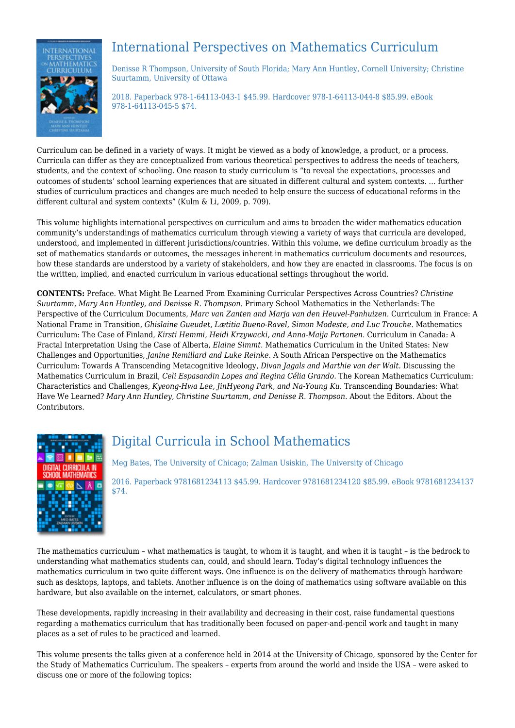

# International Perspectives on Mathematics Curriculum

Denisse R Thompson, University of South Florida; Mary Ann Huntley, Cornell University; Christine Suurtamm, University of Ottawa

2018. Paperback 978-1-64113-043-1 \$45.99. Hardcover 978-1-64113-044-8 \$85.99. eBook 978-1-64113-045-5 \$74.

Curriculum can be defined in a variety of ways. It might be viewed as a body of knowledge, a product, or a process. Curricula can differ as they are conceptualized from various theoretical perspectives to address the needs of teachers, students, and the context of schooling. One reason to study curriculum is "to reveal the expectations, processes and outcomes of students' school learning experiences that are situated in different cultural and system contexts. … further studies of curriculum practices and changes are much needed to help ensure the success of educational reforms in the different cultural and system contexts" (Kulm & Li, 2009, p. 709).

This volume highlights international perspectives on curriculum and aims to broaden the wider mathematics education community's understandings of mathematics curriculum through viewing a variety of ways that curricula are developed, understood, and implemented in different jurisdictions/countries. Within this volume, we define curriculum broadly as the set of mathematics standards or outcomes, the messages inherent in mathematics curriculum documents and resources, how these standards are understood by a variety of stakeholders, and how they are enacted in classrooms. The focus is on the written, implied, and enacted curriculum in various educational settings throughout the world.

**CONTENTS:** Preface. What Might Be Learned From Examining Curricular Perspectives Across Countries? *Christine Suurtamm, Mary Ann Huntley, and Denisse R. Thompson.* Primary School Mathematics in the Netherlands: The Perspective of the Curriculum Documents, *Marc van Zanten and Marja van den Heuvel-Panhuizen.* Curriculum in France: A National Frame in Transition, *Ghislaine Gueudet, Lætitia Bueno-Ravel, Simon Modeste, and Luc Trouche.* Mathematics Curriculum: The Case of Finland, *Kirsti Hemmi, Heidi Krzywacki, and Anna-Maija Partanen.* Curriculum in Canada: A Fractal Interpretation Using the Case of Alberta, *Elaine Simmt.* Mathematics Curriculum in the United States: New Challenges and Opportunities, *Janine Remillard and Luke Reinke.* A South African Perspective on the Mathematics Curriculum: Towards A Transcending Metacognitive Ideology, *Divan Jagals and Marthie van der Walt.* Discussing the Mathematics Curriculum in Brazil, *Celi Espasandin Lopes and Regina Célia Grando.* The Korean Mathematics Curriculum: Characteristics and Challenges, *Kyeong-Hwa Lee, JinHyeong Park, and Na-Young Ku.* Transcending Boundaries: What Have We Learned? *Mary Ann Huntley, Christine Suurtamm, and Denisse R. Thompson.* About the Editors. About the Contributors.



# Digital Curricula in School Mathematics

Meg Bates, The University of Chicago; Zalman Usiskin, The University of Chicago 2016. Paperback 9781681234113 \$45.99. Hardcover 9781681234120 \$85.99. eBook 9781681234137 \$74.

The mathematics curriculum – what mathematics is taught, to whom it is taught, and when it is taught – is the bedrock to understanding what mathematics students can, could, and should learn. Today's digital technology influences the mathematics curriculum in two quite different ways. One influence is on the delivery of mathematics through hardware such as desktops, laptops, and tablets. Another influence is on the doing of mathematics using software available on this hardware, but also available on the internet, calculators, or smart phones.

These developments, rapidly increasing in their availability and decreasing in their cost, raise fundamental questions regarding a mathematics curriculum that has traditionally been focused on paper-and-pencil work and taught in many places as a set of rules to be practiced and learned.

This volume presents the talks given at a conference held in 2014 at the University of Chicago, sponsored by the Center for the Study of Mathematics Curriculum. The speakers – experts from around the world and inside the USA – were asked to discuss one or more of the following topics: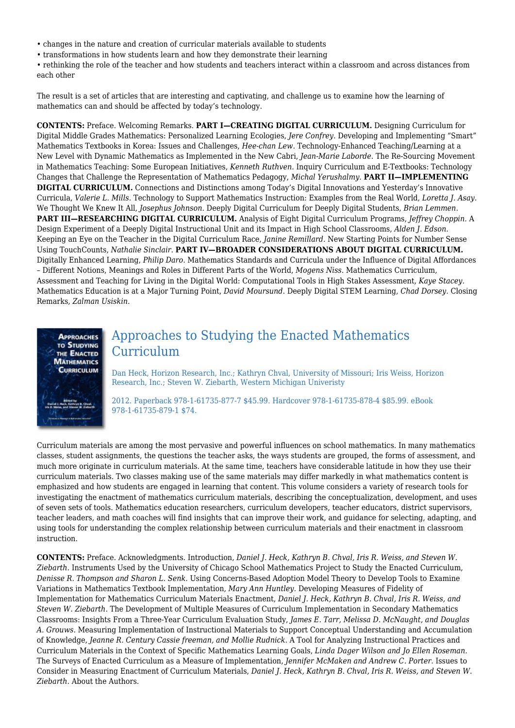- changes in the nature and creation of curricular materials available to students
- transformations in how students learn and how they demonstrate their learning
- rethinking the role of the teacher and how students and teachers interact within a classroom and across distances from each other

The result is a set of articles that are interesting and captivating, and challenge us to examine how the learning of mathematics can and should be affected by today's technology.

**CONTENTS:** Preface. Welcoming Remarks. **PART I—CREATING DIGITAL CURRICULUM.** Designing Curriculum for Digital Middle Grades Mathematics: Personalized Learning Ecologies, *Jere Confrey.* Developing and Implementing "Smart" Mathematics Textbooks in Korea: Issues and Challenges, *Hee-chan Lew.* Technology-Enhanced Teaching/Learning at a New Level with Dynamic Mathematics as Implemented in the New Cabri, *Jean-Marie Laborde.* The Re-Sourcing Movement in Mathematics Teaching: Some European Initiatives, *Kenneth Ruthven.* Inquiry Curriculum and E-Textbooks: Technology Changes that Challenge the Representation of Mathematics Pedagogy, *Michal Yerushalmy.* **PART II—IMPLEMENTING DIGITAL CURRICULUM.** Connections and Distinctions among Today's Digital Innovations and Yesterday's Innovative Curricula, *Valerie L. Mills.* Technology to Support Mathematics Instruction: Examples from the Real World, *Loretta J. Asay.* We Thought We Knew It All, *Josephus Johnson.* Deeply Digital Curriculum for Deeply Digital Students, *Brian Lemmen.* **PART III—RESEARCHING DIGITAL CURRICULUM.** Analysis of Eight Digital Curriculum Programs, *Jeffrey Choppin.* A Design Experiment of a Deeply Digital Instructional Unit and its Impact in High School Classrooms, *Alden J. Edson.* Keeping an Eye on the Teacher in the Digital Curriculum Race, *Janine Remillard.* New Starting Points for Number Sense Using TouchCounts, *Nathalie Sinclair.* **PART IV—BROADER CONSIDERATIONS ABOUT DIGITAL CURRICULUM.** Digitally Enhanced Learning, *Philip Daro.* Mathematics Standards and Curricula under the Influence of Digital Affordances – Different Notions, Meanings and Roles in Different Parts of the World, *Mogens Niss.* Mathematics Curriculum, Assessment and Teaching for Living in the Digital World: Computational Tools in High Stakes Assessment, *Kaye Stacey.* Mathematics Education is at a Major Turning Point, *David Moursund.* Deeply Digital STEM Learning, *Chad Dorsey.* Closing Remarks, *Zalman Usiskin.*



## Approaches to Studying the Enacted Mathematics Curriculum

Dan Heck, Horizon Research, Inc.; Kathryn Chval, University of Missouri; Iris Weiss, Horizon Research, Inc.; Steven W. Ziebarth, Western Michigan Univeristy

2012. Paperback 978-1-61735-877-7 \$45.99. Hardcover 978-1-61735-878-4 \$85.99. eBook 978-1-61735-879-1 \$74.

Curriculum materials are among the most pervasive and powerful influences on school mathematics. In many mathematics classes, student assignments, the questions the teacher asks, the ways students are grouped, the forms of assessment, and much more originate in curriculum materials. At the same time, teachers have considerable latitude in how they use their curriculum materials. Two classes making use of the same materials may differ markedly in what mathematics content is emphasized and how students are engaged in learning that content. This volume considers a variety of research tools for investigating the enactment of mathematics curriculum materials, describing the conceptualization, development, and uses of seven sets of tools. Mathematics education researchers, curriculum developers, teacher educators, district supervisors, teacher leaders, and math coaches will find insights that can improve their work, and guidance for selecting, adapting, and using tools for understanding the complex relationship between curriculum materials and their enactment in classroom instruction.

**CONTENTS:** Preface. Acknowledgments. Introduction, *Daniel J. Heck, Kathryn B. Chval, Iris R. Weiss, and Steven W. Ziebarth.* Instruments Used by the University of Chicago School Mathematics Project to Study the Enacted Curriculum, *Denisse R. Thompson and Sharon L. Senk.* Using Concerns-Based Adoption Model Theory to Develop Tools to Examine Variations in Mathematics Textbook Implementation, *Mary Ann Huntley.* Developing Measures of Fidelity of Implementation for Mathematics Curriculum Materials Enactment, *Daniel J. Heck, Kathryn B. Chval, Iris R. Weiss, and Steven W. Ziebarth.* The Development of Multiple Measures of Curriculum Implementation in Secondary Mathematics Classrooms: Insights From a Three-Year Curriculum Evaluation Study, *James E. Tarr, Melissa D. McNaught, and Douglas A. Grouws.* Measuring Implementation of Instructional Materials to Support Conceptual Understanding and Accumulation of Knowledge, *Jeanne R. Century Cassie freeman, and Mollie Rudnick.* A Tool for Analyzing Instructional Practices and Curriculum Materials in the Context of Specific Mathematics Learning Goals, *Linda Dager Wilson and Jo Ellen Roseman.* The Surveys of Enacted Curriculum as a Measure of Implementation, *Jennifer McMaken and Andrew C. Porter.* Issues to Consider in Measuring Enactment of Curriculum Materials, *Daniel J. Heck, Kathryn B. Chval, Iris R. Weiss, and Steven W. Ziebarth.* About the Authors.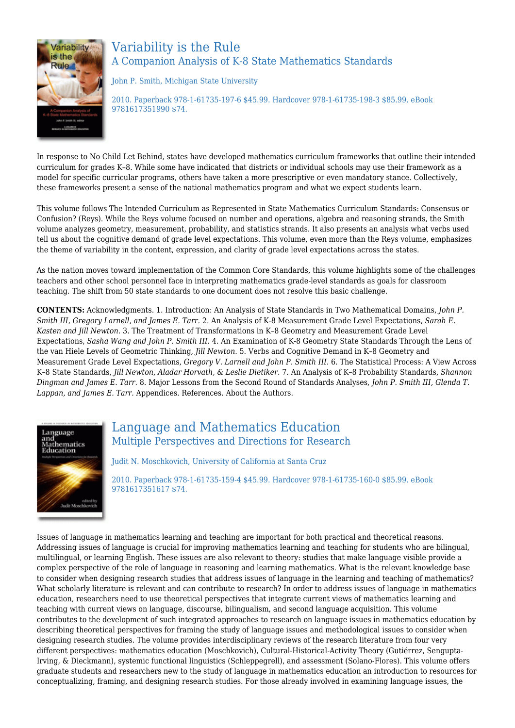

## Variability is the Rule A Companion Analysis of K-8 State Mathematics Standards

John P. Smith, Michigan State University

2010. Paperback 978-1-61735-197-6 \$45.99. Hardcover 978-1-61735-198-3 \$85.99. eBook 9781617351990 \$74.

In response to No Child Let Behind, states have developed mathematics curriculum frameworks that outline their intended curriculum for grades K–8. While some have indicated that districts or individual schools may use their framework as a model for specific curricular programs, others have taken a more prescriptive or even mandatory stance. Collectively, these frameworks present a sense of the national mathematics program and what we expect students learn.

This volume follows The Intended Curriculum as Represented in State Mathematics Curriculum Standards: Consensus or Confusion? (Reys). While the Reys volume focused on number and operations, algebra and reasoning strands, the Smith volume analyzes geometry, measurement, probability, and statistics strands. It also presents an analysis what verbs used tell us about the cognitive demand of grade level expectations. This volume, even more than the Reys volume, emphasizes the theme of variability in the content, expression, and clarity of grade level expectations across the states.

As the nation moves toward implementation of the Common Core Standards, this volume highlights some of the challenges teachers and other school personnel face in interpreting mathematics grade-level standards as goals for classroom teaching. The shift from 50 state standards to one document does not resolve this basic challenge.

**CONTENTS:** Acknowledgments. 1. Introduction: An Analysis of State Standards in Two Mathematical Domains, *John P. Smith III, Gregory Larnell, and James E. Tarr.* 2. An Analysis of K-8 Measurement Grade Level Expectations, *Sarah E. Kasten and Jill Newton.* 3. The Treatment of Transformations in K–8 Geometry and Measurement Grade Level Expectations, *Sasha Wang and John P. Smith III.* 4. An Examination of K-8 Geometry State Standards Through the Lens of the van Hiele Levels of Geometric Thinking, *Jill Newton.* 5. Verbs and Cognitive Demand in K–8 Geometry and Measurement Grade Level Expectations, *Gregory V. Larnell and John P. Smith III.* 6. The Statistical Process: A View Across K–8 State Standards, *Jill Newton, Aladar Horvath, & Leslie Dietiker.* 7. An Analysis of K–8 Probability Standards, *Shannon Dingman and James E. Tarr.* 8. Major Lessons from the Second Round of Standards Analyses, *John P. Smith III, Glenda T. Lappan, and James E. Tarr.* Appendices. References. About the Authors.



## Language and Mathematics Education Multiple Perspectives and Directions for Research

Judit N. Moschkovich, University of California at Santa Cruz

2010. Paperback 978-1-61735-159-4 \$45.99. Hardcover 978-1-61735-160-0 \$85.99. eBook 9781617351617 \$74.

Issues of language in mathematics learning and teaching are important for both practical and theoretical reasons. Addressing issues of language is crucial for improving mathematics learning and teaching for students who are bilingual, multilingual, or learning English. These issues are also relevant to theory: studies that make language visible provide a complex perspective of the role of language in reasoning and learning mathematics. What is the relevant knowledge base to consider when designing research studies that address issues of language in the learning and teaching of mathematics? What scholarly literature is relevant and can contribute to research? In order to address issues of language in mathematics education, researchers need to use theoretical perspectives that integrate current views of mathematics learning and teaching with current views on language, discourse, bilingualism, and second language acquisition. This volume contributes to the development of such integrated approaches to research on language issues in mathematics education by describing theoretical perspectives for framing the study of language issues and methodological issues to consider when designing research studies. The volume provides interdisciplinary reviews of the research literature from four very different perspectives: mathematics education (Moschkovich), Cultural-Historical-Activity Theory (Gutiérrez, Sengupta-Irving, & Dieckmann), systemic functional linguistics (Schleppegrell), and assessment (Solano-Flores). This volume offers graduate students and researchers new to the study of language in mathematics education an introduction to resources for conceptualizing, framing, and designing research studies. For those already involved in examining language issues, the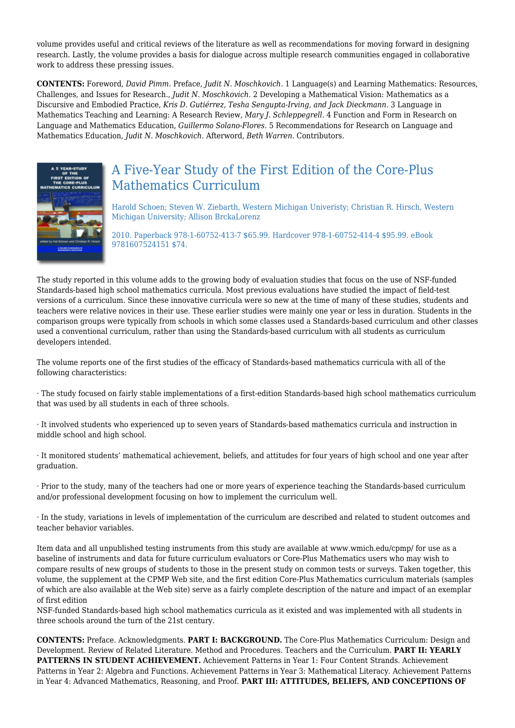volume provides useful and critical reviews of the literature as well as recommendations for moving forward in designing research. Lastly, the volume provides a basis for dialogue across multiple research communities engaged in collaborative work to address these pressing issues.

**CONTENTS:** Foreword, *David Pimm.* Preface, *Judit N. Moschkovich.* 1 Language(s) and Learning Mathematics: Resources, Challenges, and Issues for Research., *Judit N. Moschkovich.* 2 Developing a Mathematical Vision: Mathematics as a Discursive and Embodied Practice, *Kris D. Gutiérrez, Tesha Sengupta-Irving, and Jack Dieckmann.* 3 Language in Mathematics Teaching and Learning: A Research Review, *Mary J. Schleppegrell.* 4 Function and Form in Research on Language and Mathematics Education, *Guillermo Solano-Flores.* 5 Recommendations for Research on Language and Mathematics Education, *Judit N. Moschkovich.* Afterword, *Beth Warren.* Contributors.



# A Five-Year Study of the First Edition of the Core-Plus Mathematics Curriculum

Harold Schoen; Steven W. Ziebarth, Western Michigan Univeristy; Christian R. Hirsch, Western Michigan University; Allison BrckaLorenz

2010. Paperback 978-1-60752-413-7 \$65.99. Hardcover 978-1-60752-414-4 \$95.99. eBook 9781607524151 \$74.

The study reported in this volume adds to the growing body of evaluation studies that focus on the use of NSF-funded Standards-based high school mathematics curricula. Most previous evaluations have studied the impact of field-test versions of a curriculum. Since these innovative curricula were so new at the time of many of these studies, students and teachers were relative novices in their use. These earlier studies were mainly one year or less in duration. Students in the comparison groups were typically from schools in which some classes used a Standards-based curriculum and other classes used a conventional curriculum, rather than using the Standards-based curriculum with all students as curriculum developers intended.

The volume reports one of the first studies of the efficacy of Standards-based mathematics curricula with all of the following characteristics:

· The study focused on fairly stable implementations of a first-edition Standards-based high school mathematics curriculum that was used by all students in each of three schools.

· It involved students who experienced up to seven years of Standards-based mathematics curricula and instruction in middle school and high school.

· It monitored students' mathematical achievement, beliefs, and attitudes for four years of high school and one year after graduation.

· Prior to the study, many of the teachers had one or more years of experience teaching the Standards-based curriculum and/or professional development focusing on how to implement the curriculum well.

· In the study, variations in levels of implementation of the curriculum are described and related to student outcomes and teacher behavior variables.

Item data and all unpublished testing instruments from this study are available at www.wmich.edu/cpmp/ for use as a baseline of instruments and data for future curriculum evaluators or Core-Plus Mathematics users who may wish to compare results of new groups of students to those in the present study on common tests or surveys. Taken together, this volume, the supplement at the CPMP Web site, and the first edition Core-Plus Mathematics curriculum materials (samples of which are also available at the Web site) serve as a fairly complete description of the nature and impact of an exemplar of first edition

NSF-funded Standards-based high school mathematics curricula as it existed and was implemented with all students in three schools around the turn of the 21st century.

**CONTENTS:** Preface. Acknowledgments. **PART I: BACKGROUND.** The Core-Plus Mathematics Curriculum: Design and Development. Review of Related Literature. Method and Procedures. Teachers and the Curriculum. **PART II: YEARLY PATTERNS IN STUDENT ACHIEVEMENT.** Achievement Patterns in Year 1: Four Content Strands. Achievement Patterns in Year 2: Algebra and Functions. Achievement Patterns in Year 3: Mathematical Literacy. Achievement Patterns in Year 4: Advanced Mathematics, Reasoning, and Proof. **PART III: ATTITUDES, BELIEFS, AND CONCEPTIONS OF**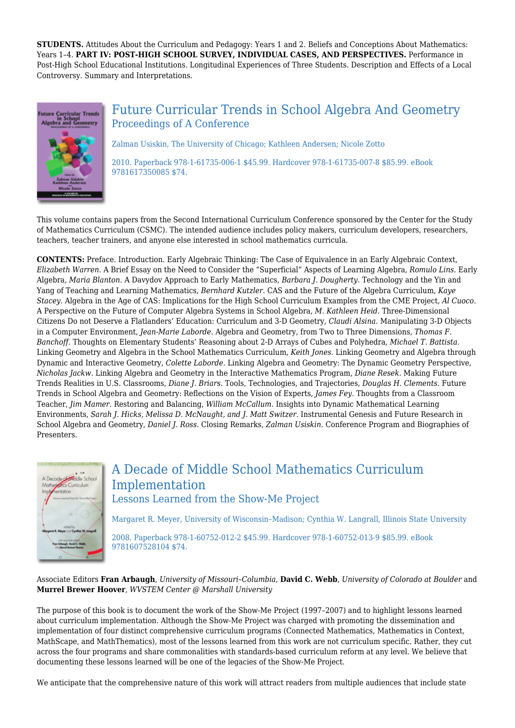**STUDENTS.** Attitudes About the Curriculum and Pedagogy: Years 1 and 2. Beliefs and Conceptions About Mathematics: Years 1–4. **PART IV: POST-HIGH SCHOOL SURVEY, INDIVIDUAL CASES, AND PERSPECTIVES.** Performance in Post-High School Educational Institutions. Longitudinal Experiences of Three Students. Description and Effects of a Local Controversy. Summary and Interpretations.



## Future Curricular Trends in School Algebra And Geometry Proceedings of A Conference

Zalman Usiskin, The University of Chicago; Kathleen Andersen; Nicole Zotto

2010. Paperback 978-1-61735-006-1 \$45.99. Hardcover 978-1-61735-007-8 \$85.99. eBook 9781617350085 \$74.

This volume contains papers from the Second International Curriculum Conference sponsored by the Center for the Study of Mathematics Curriculum (CSMC). The intended audience includes policy makers, curriculum developers, researchers, teachers, teacher trainers, and anyone else interested in school mathematics curricula.

**CONTENTS:** Preface. Introduction. Early Algebraic Thinking: The Case of Equivalence in an Early Algebraic Context, *Elizabeth Warren.* A Brief Essay on the Need to Consider the "Superficial" Aspects of Learning Algebra, *Romulo Lins.* Early Algebra, *Maria Blanton.* A Davydov Approach to Early Mathematics, *Barbara J. Dougherty.* Technology and the Yin and Yang of Teaching and Learning Mathematics, *Bernhard Kutzler.* CAS and the Future of the Algebra Curriculum, *Kaye Stacey.* Algebra in the Age of CAS: Implications for the High School Curriculum Examples from the CME Project, *Al Cuoco.* A Perspective on the Future of Computer Algebra Systems in School Algebra, *M. Kathleen Heid.* Three-Dimensional Citizens Do not Deserve a Flatlanders' Education: Curriculum and 3-D Geometry, *Claudi Alsina.* Manipulating 3-D Objects in a Computer Environment, *Jean-Marie Laborde.* Algebra and Geometry, from Two to Three Dimensions, *Thomas F. Banchoff.* Thoughts on Elementary Students' Reasoning about 2-D Arrays of Cubes and Polyhedra, *Michael T. Battista.* Linking Geometry and Algebra in the School Mathematics Curriculum, *Keith Jones.* Linking Geometry and Algebra through Dynamic and Interactive Geometry, *Colette Laborde.* Linking Algebra and Geometry: The Dynamic Geometry Perspective, *Nicholas Jackw.* Linking Algebra and Geometry in the Interactive Mathematics Program, *Diane Resek.* Making Future Trends Realities in U.S. Classrooms, *Diane J. Briars.* Tools, Technologies, and Trajectories, *Douglas H. Clements.* Future Trends in School Algebra and Geometry: Reflections on the Vision of Experts, *James Fey.* Thoughts from a Classroom Teacher, *Jim Mamer.* Restoring and Balancing, *William McCallum.* Insights into Dynamic Mathematical Learning Environments, *Sarah J. Hicks, Melissa D. McNaught, and J. Matt Switzer.* Instrumental Genesis and Future Research in School Algebra and Geometry, *Daniel J. Ross.* Closing Remarks, *Zalman Usiskin.* Conference Program and Biographies of Presenters.



## A Decade of Middle School Mathematics Curriculum Implementation Lessons Learned from the Show-Me Project

Margaret R. Meyer, University of Wisconsin–Madison; Cynthia W. Langrall, Illinois State University

2008. Paperback 978-1-60752-012-2 \$45.99. Hardcover 978-1-60752-013-9 \$85.99. eBook 9781607528104 \$74.

Associate Editors **Fran Arbaugh**, *University of Missouri–Columbia*, **David C. Webb**, *University of Colorado at Boulder* and **Murrel Brewer Hoover**, *WVSTEM Center @ Marshall University*

The purpose of this book is to document the work of the Show-Me Project (1997–2007) and to highlight lessons learned about curriculum implementation. Although the Show-Me Project was charged with promoting the dissemination and implementation of four distinct comprehensive curriculum programs (Connected Mathematics, Mathematics in Context, MathScape, and MathThematics), most of the lessons learned from this work are not curriculum specific. Rather, they cut across the four programs and share commonalities with standards-based curriculum reform at any level. We believe that documenting these lessons learned will be one of the legacies of the Show-Me Project.

We anticipate that the comprehensive nature of this work will attract readers from multiple audiences that include state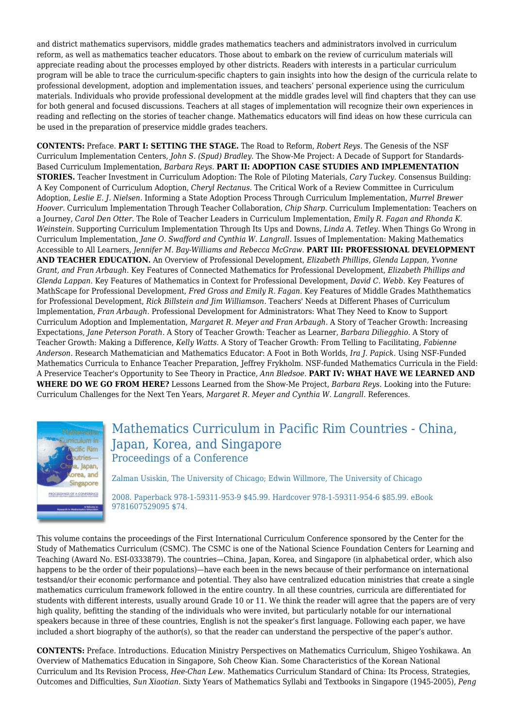and district mathematics supervisors, middle grades mathematics teachers and administrators involved in curriculum reform, as well as mathematics teacher educators. Those about to embark on the review of curriculum materials will appreciate reading about the processes employed by other districts. Readers with interests in a particular curriculum program will be able to trace the curriculum-specific chapters to gain insights into how the design of the curricula relate to professional development, adoption and implementation issues, and teachers' personal experience using the curriculum materials. Individuals who provide professional development at the middle grades level will find chapters that they can use for both general and focused discussions. Teachers at all stages of implementation will recognize their own experiences in reading and reflecting on the stories of teacher change. Mathematics educators will find ideas on how these curricula can be used in the preparation of preservice middle grades teachers.

**CONTENTS:** Preface. **PART I: SETTING THE STAGE.** The Road to Reform, *Robert Reys.* The Genesis of the NSF Curriculum Implementation Centers, *John S. (Spud) Bradley.* The Show-Me Project: A Decade of Support for Standards-Based Curriculum Implementation, *Barbara Reys*. **PART II: ADOPTION CASE STUDIES AND IMPLEMENTATION STORIES.** Teacher Investment in Curriculum Adoption: The Role of Piloting Materials, *Cary Tuckey.* Consensus Building: A Key Component of Curriculum Adoption, *Cheryl Rectanus*. The Critical Work of a Review Committee in Curriculum Adoption, *Leslie E. J. Nielsen*. Informing a State Adoption Process Through Curriculum Implementation, *Murrel Brewer Hoover*. Curriculum Implementation Through Teacher Collaboration, *Chip Sharp*. Curriculum Implementation: Teachers on a Journey, *Carol Den Otter*. The Role of Teacher Leaders in Curriculum Implementation, *Emily R. Fagan and Rhonda K. Weinstein*. Supporting Curriculum Implementation Through Its Ups and Downs, *Linda A. Tetley*. When Things Go Wrong in Curriculum Implementation, *Jane O. Swafford and Cynthia W. Langrall*. Issues of Implementation: Making Mathematics Accessible to All Learners, *Jennifer M. Bay-Williams and Rebecca McGraw*. **PART III: PROFESSIONAL DEVELOPMENT AND TEACHER EDUCATION.** An Overview of Professional Development, *Elizabeth Phillips, Glenda Lappan, Yvonne Grant, and Fran Arbaugh*. Key Features of Connected Mathematics for Professional Development, *Elizabeth Phillips and Glenda Lappan*. Key Features of Mathematics in Context for Professional Development, *David C. Webb*. Key Features of MathScape for Professional Development, *Fred Gross and Emily R. Fagan*. Key Features of Middle Grades Maththematics for Professional Development, *Rick Billstein and Jim Williamson*. Teachers' Needs at Different Phases of Curriculum Implementation, *Fran Arbaugh*. Professional Development for Administrators: What They Need to Know to Support Curriculum Adoption and Implementation, *Margaret R. Meyer and Fran Arbaugh*. A Story of Teacher Growth: Increasing Expectations, *Jane Peterson Porath*. A Story of Teacher Growth: Teacher as Learner, *Barbara Diliegghio*. A Story of Teacher Growth: Making a Difference, *Kelly Watts*. A Story of Teacher Growth: From Telling to Facilitating, *Fabienne Anderson*. Research Mathematician and Mathematics Educator: A Foot in Both Worlds, *Ira J. Papick*. Using NSF-Funded Mathematics Curricula to Enhance Teacher Preparation, Jeffrey Frykholm. NSF-funded Mathematics Curricula in the Field: A Preservice Teacher's Opportunity to See Theory in Practice, *Ann Bledsoe*. **PART IV: WHAT HAVE WE LEARNED AND WHERE DO WE GO FROM HERE?** Lessons Learned from the Show-Me Project, *Barbara Reys*. Looking into the Future: Curriculum Challenges for the Next Ten Years, *Margaret R. Meyer and Cynthia W. Langrall.* References.



Mathematics Curriculum in Pacific Rim Countries - China, Japan, Korea, and Singapore Proceedings of a Conference

Zalman Usiskin, The University of Chicago; Edwin Willmore, The University of Chicago

2008. Paperback 978-1-59311-953-9 \$45.99. Hardcover 978-1-59311-954-6 \$85.99. eBook 9781607529095 \$74.

This volume contains the proceedings of the First International Curriculum Conference sponsored by the Center for the Study of Mathematics Curriculum (CSMC). The CSMC is one of the National Science Foundation Centers for Learning and Teaching (Award No. ESI-0333879). The countries—China, Japan, Korea, and Singapore (in alphabetical order, which also happens to be the order of their populations)—have each been in the news because of their performance on international testsand/or their economic performance and potential. They also have centralized education ministries that create a single mathematics curriculum framework followed in the entire country. In all these countries, curricula are differentiated for students with different interests, usually around Grade 10 or 11. We think the reader will agree that the papers are of very high quality, befitting the standing of the individuals who were invited, but particularly notable for our international speakers because in three of these countries, English is not the speaker's first language. Following each paper, we have included a short biography of the author(s), so that the reader can understand the perspective of the paper's author.

**CONTENTS:** Preface. Introductions. Education Ministry Perspectives on Mathematics Curriculum, Shigeo Yoshikawa. An Overview of Mathematics Education in Singapore, Soh Cheow Kian. Some Characteristics of the Korean National Curriculum and Its Revision Process, *Hee-Chan Lew.* Mathematics Curriculum Standard of China: Its Process, Strategies, Outcomes and Difficulties, *Sun Xiaotian.* Sixty Years of Mathematics Syllabi and Textbooks in Singapore (1945-2005), *Peng*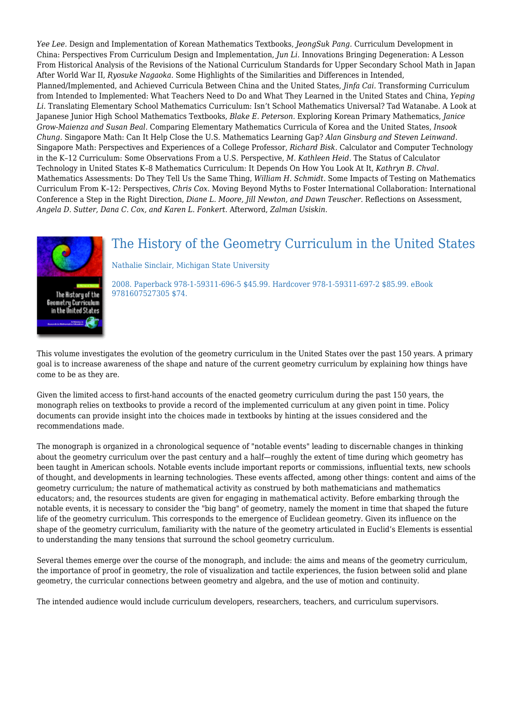*Yee Lee.* Design and Implementation of Korean Mathematics Textbooks, *JeongSuk Pang.* Curriculum Development in China: Perspectives From Curriculum Design and Implementation, *Jun Li.* Innovations Bringing Degeneration: A Lesson From Historical Analysis of the Revisions of the National Curriculum Standards for Upper Secondary School Math in Japan After World War II, *Ryosuke Nagaoka.* Some Highlights of the Similarities and Differences in Intended, Planned/Implemented, and Achieved Curricula Between China and the United States, *Jinfa Cai.* Transforming Curriculum from Intended to Implemented: What Teachers Need to Do and What They Learned in the United States and China, *Yeping Li.* Translating Elementary School Mathematics Curriculum: Isn't School Mathematics Universal? Tad Watanabe. A Look at Japanese Junior High School Mathematics Textbooks, *Blake E. Peterson.* Exploring Korean Primary Mathematics, *Janice Grow-Maienza and Susan Beal.* Comparing Elementary Mathematics Curricula of Korea and the United States, *Insook Chung.* Singapore Math: Can It Help Close the U.S. Mathematics Learning Gap? *Alan Ginsburg and Steven Leinwand.* Singapore Math: Perspectives and Experiences of a College Professor, *Richard Bisk.* Calculator and Computer Technology in the K–12 Curriculum: Some Observations From a U.S. Perspective, *M. Kathleen Heid.* The Status of Calculator Technology in United States K–8 Mathematics Curriculum: It Depends On How You Look At It, *Kathryn B. Chval.* Mathematics Assessments: Do They Tell Us the Same Thing, *William H. Schmidt.* Some Impacts of Testing on Mathematics Curriculum From K–12: Perspectives, *Chris Cox.* Moving Beyond Myths to Foster International Collaboration: International Conference a Step in the Right Direction, *Diane L. Moore, Jill Newton, and Dawn Teuscher.* Reflections on Assessment, *Angela D. Sutter, Dana C. Cox, and Karen L. Fonkert.* Afterword, *Zalman Usiskin.*



## The History of the Geometry Curriculum in the United States

Nathalie Sinclair, Michigan State University

2008. Paperback 978-1-59311-696-5 \$45.99. Hardcover 978-1-59311-697-2 \$85.99. eBook 9781607527305 \$74.

This volume investigates the evolution of the geometry curriculum in the United States over the past 150 years. A primary goal is to increase awareness of the shape and nature of the current geometry curriculum by explaining how things have come to be as they are.

Given the limited access to first-hand accounts of the enacted geometry curriculum during the past 150 years, the monograph relies on textbooks to provide a record of the implemented curriculum at any given point in time. Policy documents can provide insight into the choices made in textbooks by hinting at the issues considered and the recommendations made.

The monograph is organized in a chronological sequence of "notable events" leading to discernable changes in thinking about the geometry curriculum over the past century and a half—roughly the extent of time during which geometry has been taught in American schools. Notable events include important reports or commissions, influential texts, new schools of thought, and developments in learning technologies. These events affected, among other things: content and aims of the geometry curriculum; the nature of mathematical activity as construed by both mathematicians and mathematics educators; and, the resources students are given for engaging in mathematical activity. Before embarking through the notable events, it is necessary to consider the "big bang" of geometry, namely the moment in time that shaped the future life of the geometry curriculum. This corresponds to the emergence of Euclidean geometry. Given its influence on the shape of the geometry curriculum, familiarity with the nature of the geometry articulated in Euclid's Elements is essential to understanding the many tensions that surround the school geometry curriculum.

Several themes emerge over the course of the monograph, and include: the aims and means of the geometry curriculum, the importance of proof in geometry, the role of visualization and tactile experiences, the fusion between solid and plane geometry, the curricular connections between geometry and algebra, and the use of motion and continuity.

The intended audience would include curriculum developers, researchers, teachers, and curriculum supervisors.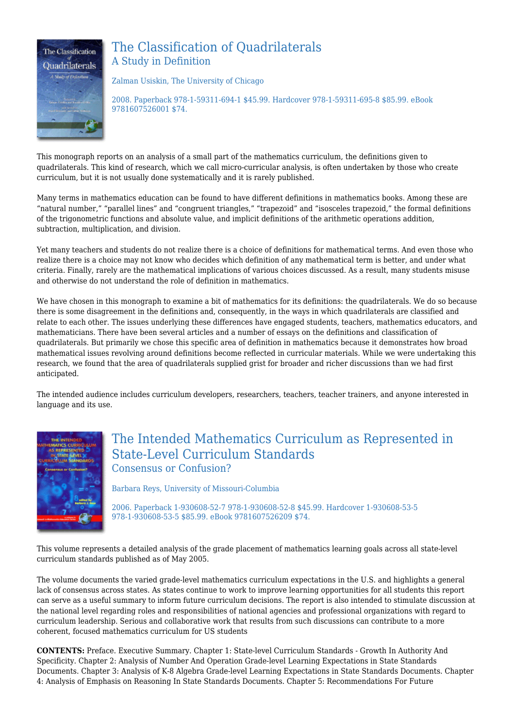

## The Classification of Quadrilaterals A Study in Definition

Zalman Usiskin, The University of Chicago

2008. Paperback 978-1-59311-694-1 \$45.99. Hardcover 978-1-59311-695-8 \$85.99. eBook 9781607526001 \$74.

This monograph reports on an analysis of a small part of the mathematics curriculum, the definitions given to quadrilaterals. This kind of research, which we call micro-curricular analysis, is often undertaken by those who create curriculum, but it is not usually done systematically and it is rarely published.

Many terms in mathematics education can be found to have different definitions in mathematics books. Among these are "natural number," "parallel lines" and "congruent triangles," "trapezoid" and "isosceles trapezoid," the formal definitions of the trigonometric functions and absolute value, and implicit definitions of the arithmetic operations addition, subtraction, multiplication, and division.

Yet many teachers and students do not realize there is a choice of definitions for mathematical terms. And even those who realize there is a choice may not know who decides which definition of any mathematical term is better, and under what criteria. Finally, rarely are the mathematical implications of various choices discussed. As a result, many students misuse and otherwise do not understand the role of definition in mathematics.

We have chosen in this monograph to examine a bit of mathematics for its definitions: the quadrilaterals. We do so because there is some disagreement in the definitions and, consequently, in the ways in which quadrilaterals are classified and relate to each other. The issues underlying these differences have engaged students, teachers, mathematics educators, and mathematicians. There have been several articles and a number of essays on the definitions and classification of quadrilaterals. But primarily we chose this specific area of definition in mathematics because it demonstrates how broad mathematical issues revolving around definitions become reflected in curricular materials. While we were undertaking this research, we found that the area of quadrilaterals supplied grist for broader and richer discussions than we had first anticipated.

The intended audience includes curriculum developers, researchers, teachers, teacher trainers, and anyone interested in language and its use.



## The Intended Mathematics Curriculum as Represented in State-Level Curriculum Standards Consensus or Confusion?

Barbara Reys, University of Missouri-Columbia

2006. Paperback 1-930608-52-7 978-1-930608-52-8 \$45.99. Hardcover 1-930608-53-5 978-1-930608-53-5 \$85.99. eBook 9781607526209 \$74.

This volume represents a detailed analysis of the grade placement of mathematics learning goals across all state-level curriculum standards published as of May 2005.

The volume documents the varied grade-level mathematics curriculum expectations in the U.S. and highlights a general lack of consensus across states. As states continue to work to improve learning opportunities for all students this report can serve as a useful summary to inform future curriculum decisions. The report is also intended to stimulate discussion at the national level regarding roles and responsibilities of national agencies and professional organizations with regard to curriculum leadership. Serious and collaborative work that results from such discussions can contribute to a more coherent, focused mathematics curriculum for US students

**CONTENTS:** Preface. Executive Summary. Chapter 1: State-level Curriculum Standards - Growth In Authority And Specificity. Chapter 2: Analysis of Number And Operation Grade-level Learning Expectations in State Standards Documents. Chapter 3: Analysis of K-8 Algebra Grade-level Learning Expectations in State Standards Documents. Chapter 4: Analysis of Emphasis on Reasoning In State Standards Documents. Chapter 5: Recommendations For Future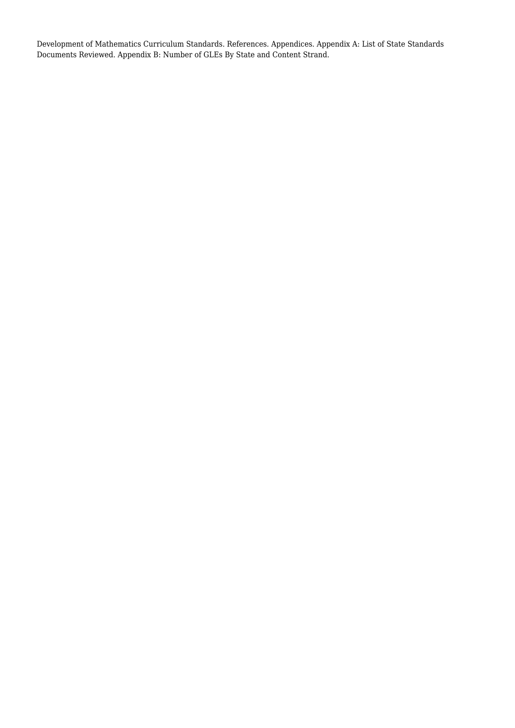Development of Mathematics Curriculum Standards. References. Appendices. Appendix A: List of State Standards Documents Reviewed. Appendix B: Number of GLEs By State and Content Strand.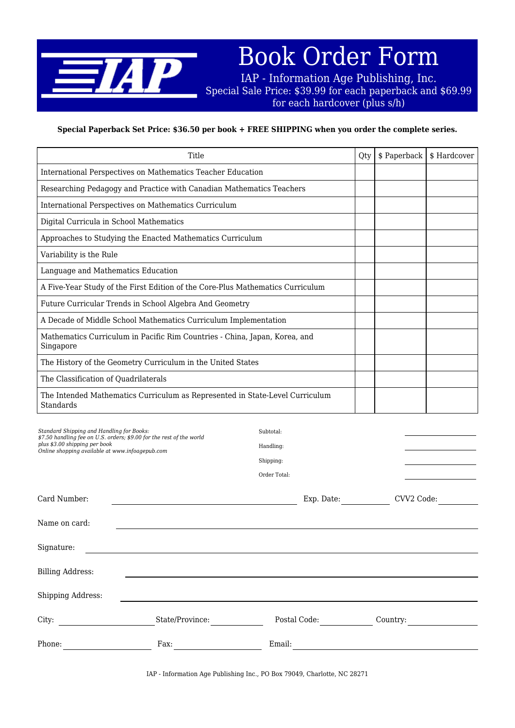

Book Order Form

IAP - Information Age Publishing, Inc. Special Sale Price: \$39.99 for each paperback and \$69.99 for each hardcover (plus s/h)

### **Special Paperback Set Price: \$36.50 per book + FREE SHIPPING when you order the complete series.**

| Title                                                                                                                                                                                                 |                                                     | Qty | \$ Paperback | \$ Hardcover |
|-------------------------------------------------------------------------------------------------------------------------------------------------------------------------------------------------------|-----------------------------------------------------|-----|--------------|--------------|
| International Perspectives on Mathematics Teacher Education                                                                                                                                           |                                                     |     |              |              |
| Researching Pedagogy and Practice with Canadian Mathematics Teachers                                                                                                                                  |                                                     |     |              |              |
| International Perspectives on Mathematics Curriculum                                                                                                                                                  |                                                     |     |              |              |
| Digital Curricula in School Mathematics                                                                                                                                                               |                                                     |     |              |              |
| Approaches to Studying the Enacted Mathematics Curriculum                                                                                                                                             |                                                     |     |              |              |
| Variability is the Rule                                                                                                                                                                               |                                                     |     |              |              |
| Language and Mathematics Education                                                                                                                                                                    |                                                     |     |              |              |
| A Five-Year Study of the First Edition of the Core-Plus Mathematics Curriculum                                                                                                                        |                                                     |     |              |              |
| Future Curricular Trends in School Algebra And Geometry                                                                                                                                               |                                                     |     |              |              |
| A Decade of Middle School Mathematics Curriculum Implementation                                                                                                                                       |                                                     |     |              |              |
| Mathematics Curriculum in Pacific Rim Countries - China, Japan, Korea, and<br>Singapore                                                                                                               |                                                     |     |              |              |
| The History of the Geometry Curriculum in the United States                                                                                                                                           |                                                     |     |              |              |
| The Classification of Quadrilaterals                                                                                                                                                                  |                                                     |     |              |              |
| The Intended Mathematics Curriculum as Represented in State-Level Curriculum<br>Standards                                                                                                             |                                                     |     |              |              |
| Standard Shipping and Handling for Books:<br>\$7.50 handling fee on U.S. orders; \$9.00 for the rest of the world<br>plus \$3.00 shipping per book<br>Online shopping available at www.infoagepub.com | Subtotal:<br>Handling:<br>Shipping:<br>Order Total: |     |              |              |
| Card Number:                                                                                                                                                                                          | Exp. Date:                                          |     | CVV2 Code:   |              |
| Name on card:                                                                                                                                                                                         |                                                     |     |              |              |
| Signature.                                                                                                                                                                                            |                                                     |     |              |              |

| ັ                 |                 |              |          |  |
|-------------------|-----------------|--------------|----------|--|
| Billing Address:  |                 |              |          |  |
| Shipping Address: |                 |              |          |  |
| City:             | State/Province: | Postal Code: | Country: |  |
| Phone:            | Fax:            | Email:       |          |  |

IAP - Information Age Publishing Inc., PO Box 79049, Charlotte, NC 28271